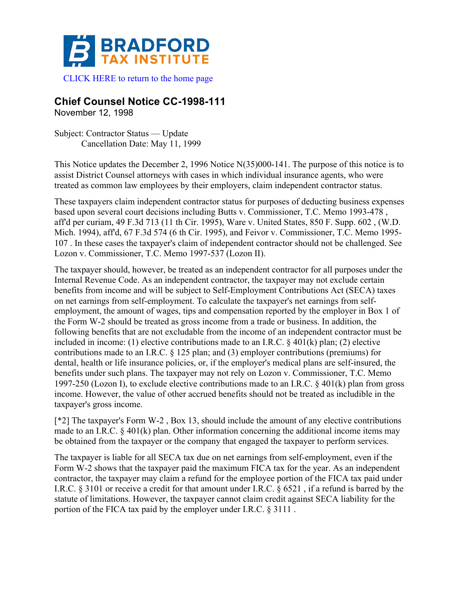

## **Chief Counsel Notice CC-1998-111**

November 12, 1998

Subject: Contractor Status — Update Cancellation Date: May 11, 1999

This Notice updates the December 2, 1996 Notice N(35)000-141. The purpose of this notice is to assist District Counsel attorneys with cases in which individual insurance agents, who were treated as common law employees by their employers, claim independent contractor status.

These taxpayers claim independent contractor status for purposes of deducting business expenses based upon several court decisions including Butts v. Commissioner, T.C. Memo 1993-478 , aff'd per curiam, 49 F.3d 713 (11 th Cir. 1995), Ware v. United States, 850 F. Supp. 602 , (W.D. Mich. 1994), aff'd, 67 F.3d 574 (6 th Cir. 1995), and Feivor v. Commissioner, T.C. Memo 1995- 107 . In these cases the taxpayer's claim of independent contractor should not be challenged. See Lozon v. Commissioner, T.C. Memo 1997-537 (Lozon II).

The taxpayer should, however, be treated as an independent contractor for all purposes under the Internal Revenue Code. As an independent contractor, the taxpayer may not exclude certain benefits from income and will be subject to Self-Employment Contributions Act (SECA) taxes on net earnings from self-employment. To calculate the taxpayer's net earnings from selfemployment, the amount of wages, tips and compensation reported by the employer in Box 1 of the Form W-2 should be treated as gross income from a trade or business. In addition, the following benefits that are not excludable from the income of an independent contractor must be included in income: (1) elective contributions made to an I.R.C.  $\S$  401(k) plan; (2) elective contributions made to an I.R.C. § 125 plan; and (3) employer contributions (premiums) for dental, health or life insurance policies, or, if the employer's medical plans are self-insured, the benefits under such plans. The taxpayer may not rely on Lozon v. Commissioner, T.C. Memo 1997-250 (Lozon I), to exclude elective contributions made to an I.R.C. § 401(k) plan from gross income. However, the value of other accrued benefits should not be treated as includible in the taxpayer's gross income.

[\*2] The taxpayer's Form W-2 , Box 13, should include the amount of any elective contributions made to an I.R.C.  $\&$  401(k) plan. Other information concerning the additional income items may be obtained from the taxpayer or the company that engaged the taxpayer to perform services.

The taxpayer is liable for all SECA tax due on net earnings from self-employment, even if the Form W-2 shows that the taxpayer paid the maximum FICA tax for the year. As an independent contractor, the taxpayer may claim a refund for the employee portion of the FICA tax paid under I.R.C. § 3101 or receive a credit for that amount under I.R.C. § 6521 , if a refund is barred by the statute of limitations. However, the taxpayer cannot claim credit against SECA liability for the portion of the FICA tax paid by the employer under I.R.C. § 3111 .